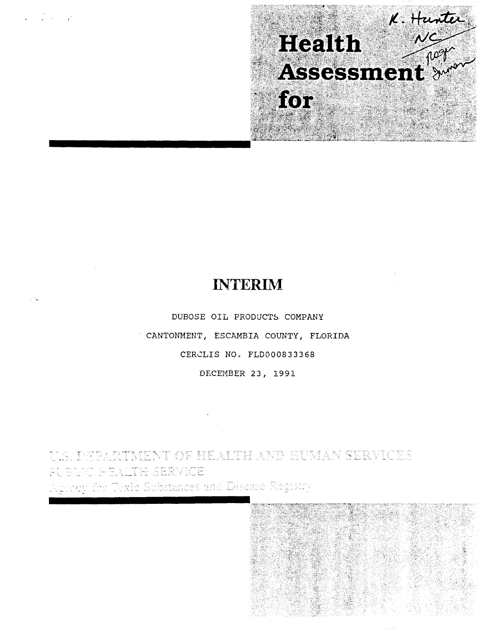

# **INTERIM**

DUBOSE OIL PRODUCTS COMPANY CANTONMENT, ESCAMBIA COUNTY, FLORIDA CERCLIS NO. FLD000833368

DECEMBER 23, 1991

**TENT OF HEALTH AND HUMAN SERVICES** TH SERVICE

ubstances and Disease Registry 8 S

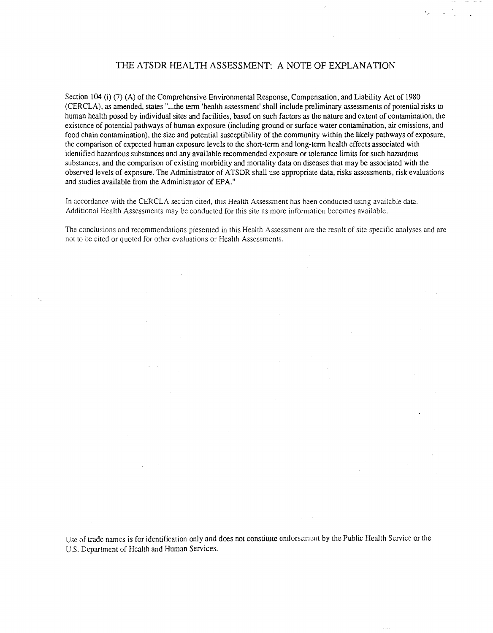# THE ATSDR HEALTH ASSESSMENT: A NOTE OF EXPLANATION

Section 104 (i) (7) (A) of the Comprehensive Environmental Response, Compensation, and Liability Act of 1980 (CERCLA), as amended, states "...the term 'health assessment' shall include preliminary assessments of potential risks to human health posed by individual sites and facilities, based on such factors as the nature and extent of contamination, the existence of potential pathways of human exposure (including ground or surface water contamination, air emissions, and food chain contamination), the size and potential susceptibility of the community within the likely pathways of exposure, the comparison of expected human exposure levels to the short-tenn and long-tenn health effects associated with identified hazardous substances and any available recommended exposure or tolerance limits for such hazardous substances, and the comparison of existing morbidity and mortality data on diseases that may be associated with the observed levels of exposure. The Administrator of ATSDR shall use appropriate data, risks assessments, risk evaluations and studies available from the Administrator of EPA."

In accordance with the CERCLA section cited, this Health Assessment has been conducted using available data. Additional Health Assessments may be conducted for this site as more information becomes available.

The conclusions and recommendations presented in this Health Assessment are the result of site specific analyses and are not to be cited or quoted for other evaluations or Health Assessments.

Use of trade names is for identification only and does not constitute endorsement by the Public Health Service or the U.S. Department of Health and Human Services.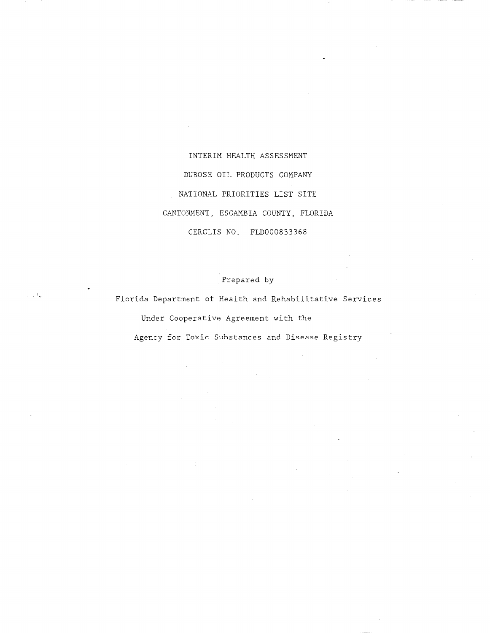INTERIM HEALTH ASSESSMENT DUBOSE OIL PRODUCTS COMPANY NATIONAL PRIORITIES LIST SITE CANTONMENT, ESCAMBIA COUNTY, FLORIDA CERCLIS NO. FLD000833368

Prepared by

Florida Department of Health and Rehabilitative Services Under Cooperative Agreement with the Agency for Toxic Substances and Disease Registry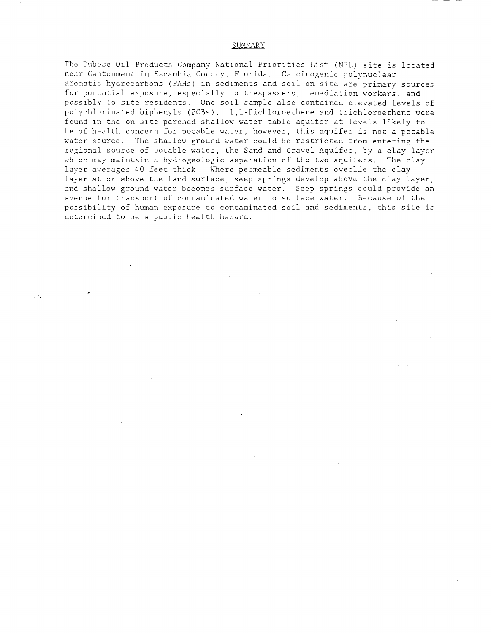## SUMMARY

The Dubose Oil Products Company National Priorities List (NPL) site is located near Cantonment in Escambia County, Florida. Carcinogenic polynuclear aromatic hydrocarbons (PAHs) in sediments and soil on site are primary sources for potential exposure, especially to trespassers, remediation workers, and possibly to site residents. One soil sample also contained elevated levels of polychlorinated biphenyls (PCBs). l,l-Dichloroethene and trichloroethene were found in the on-site perched shallow water table aquifer at levels likely to be of health concern for potable water; however, this aquifer is not a potable water source. The shallow ground water could be restricted from entering the regional source of potable water, the Sand-and-Gravel Aquifer, by a clay layer which may maintain a hydrogeologic separation of the two aquifers. The clay layer averages 40 feet thick. Where permeable sediments overlie the clay layer at or above the land surface, seep springs develop above the clay layer, and shallow ground water becomes surface water. Seep springs could provide an avenue for transport of contaminated water to surface water. Because of the possibility of human exposure to contaminated soil and sediments, this site is determined to be a public health hazard.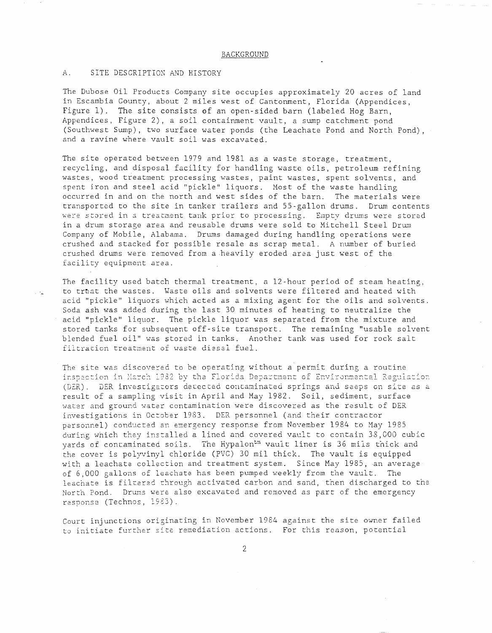#### BACKGROUND

# A. SITE DESCRIPTION AND HISTORY

 $.~\cdot$  .

The Dubose Oil Products Company site occupies approximately 20 acres of land in Escambia County, about 2 miles west of Cantonment, Florida (Appendices, Figure 1). The site consists of an open-sided barn (labeled Hog Barn, Appendices, Figure 2), a soil containment vault, a sump catchment pond (Southwest Sump), two surface water ponds (the Leachate Pond and North Pond), and a ravine where vault soil was excavated.

The site operated between 1979 and 1981 as a waste storage, treatment, recycling, and disposal facility for handling waste oils, petroleum refining wastes, wood treatment processing wastes, paint wastes, spent solvents, and spent iron and steel acid "pickle" liquors. Host of the waste handling occurred in and on the north and west sides of the barn. The materials were transported to the site in tanker trailers and 55-gallon drums. Drum contents were stored in a treatment tank prior to processing. Empty drums were stored in a drum storage area and reusable drums were sold to Mitchell Steel Drum Company of Mobile, Alabama. Drums damaged during handling operations were crushed and stacked for possible resale as scrap metal. A number of buried crushed drums were removed from a heavily eroded area just west of the facility equipment area.

The facility used batch thermal treatment, a 12-hour period of steam heating, to treat the wastes. Waste oils and solvents were filtered and heated with acid "pickle" liquors which acted as a mixing agent for the oils and solvents. Soda ash was added during the last 30 minutes of heating to neutralize the acid "pickle" liquor. The pickle liquor was separated from the mixture and stored tanks for subsequent off-site transport. The remaining "usable solvent blended fuel oil" was stored in tanks. Another tank was used for rock salt filtration treatment of waste diesel fuel.

The site was discovered to be operating without a permit during a routine inspection in March 1982 by the Florida Department of Environmental Regulation (DER). DER investigators detected contaminated springs and seeps on site as a result of a sampling visit in April and May 1982. Soil, sediment, surface water and ground water contamination were discovered as the result of DER investigations in October 1983. DER personnel (and their contractor en eingen.<br>personnel) conducted an emergency response from November 1984 to May 1985. during which they installed a lined and covered vault to contain 38,000 cubic yards of contaminated soils. The Hypalon<sup>tm</sup> vault liner is 36 mils thick and the cover is polyvinyl chloride (PVC) 30 mil thick. The vault is equipped with a leachate collection and treatment system. Since May 1985, an average of 6,000 gallons of leachate has been pumped weekly from the vault. The leachate is filcered through activated carbon and sand, then discharged to the North Pond. Drums were also excavated and removed as part of the emergency response (Technos, 1983).

Court injunctions originating in November 1984 against the site owner failed to initiate further site remediation actions. For this reason, potential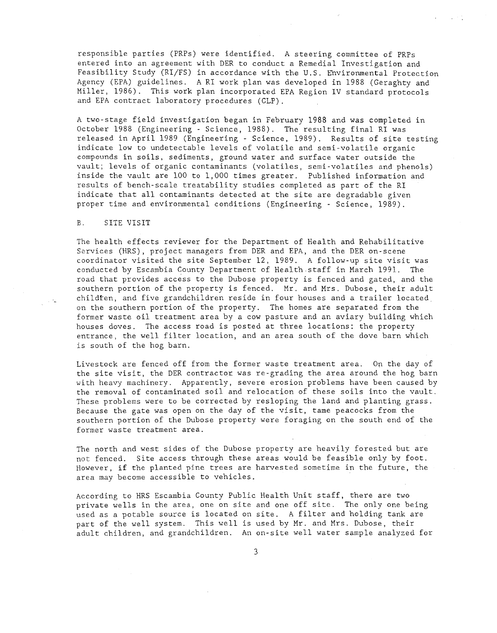responsible parties (PRPs) were identified. A steering committee of PRPs entered into an agreement with DER to conduct a Remedial Investigation and Feasibility Study (RI/FS) in accordance with the U.S. Environmental Protection Agency (EPA) guidelines. A RI work plan was developed in 1988 (Geraghty and Miller, 1986). This work plan incorporated EPA Region IV standard protocols and EPA contract laboratory procedures (CLP).

A two-stage field investigation began in February 1988 and was completed in October 1988 (Engineering - Science, 1988). The resulting final RI was released in April 1989 (Engineering - Science, 1989). Results of site testing indicate low to undetectable levels of volatile and semi-volatile organic compounds in soils, sediments, ground water and surface water outside the vault; levels of organic contaminants (volatiles, semi-volatiles and phenols) inside the vault are 100 to 1,000 times greater. Published information and results of bench-scale treatability studies completed as part of the RI indicate that all contaminants detected at the site are degradable given proper time and environmental conditions (Engineering - Science, 1989).

# B. SITE VISIT

 $\sim \Delta_{\rm m}$ 

The health effects reviewer for the Department of Health and Rehabilitative Services (HRS) , project managers from DER and EPA, and the DER on-scene coordinator visited the site September 12, 1989. A follow-up site visit was conducted by Escambia County Department of Health staff in March 1991. The road that provides access to the Dubose property is fenced and gated, and the southern portion of the property is fenced. Mr. and Mrs. Dubose, their adult childten, and five grandchildren reside in four houses and a trailer located on the southern portion of the property. The homes are separated from the former waste oil treatment area by a cow pasture and an aviary building which houses doves. The access road is posted at three locations: the property entrance, the well filter location, and an area south of the dove barn which is south of the hog barn.

Livestock are fenced off from the former waste treatment area. On the day of the site visit, the DER contractor was re-grading the area around the hog barn with heavy machinery. Apparently, severe erosion problems have been caused by the removal of contaminated soil and relocation of these soils into the vault. These problems were to be corrected by resloping the land and planting grass. Because the gate was open on the day of the visit, tame peacocks from the southern portion of the Dubose property were foraging on the south end of the former waste treatment area.

The north and west sides of the Dubose property are heavily forested but are not fenced. Site access through these areas would be feasible only by foot. However, **if** the planted pine trees are harvested sometime in the future, the area may become accessible to vehicles.

According to HRS Escambia County Public Health Unit staff, there are two private wells in the area, one on site and one off site. The only one being used as a potable source is located on site. A filter and holding tank are part of the well system. This well is used by Mr. and Mrs. Dubose, their adult children, and grandchildren. An on-site well water sample analyzed for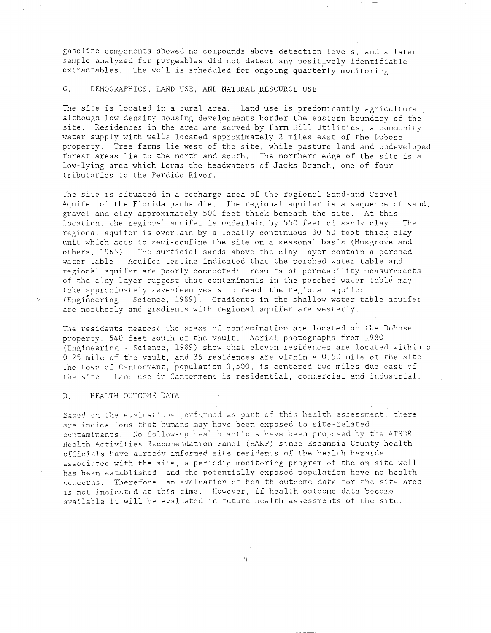gasoline components showed no compounds above detection levels, and a later sample analyzed for purgeables did not detect any positively identifiable extractables. The well is scheduled for ongoing quarterly monitoring.

C. DEMOGRAPHICS, LAND USE, AND NATURAL RESOURCE USE

The site is located in a rural area. Land use is predominantly agricultural, although low density housing developments border the eastern boundary of the site. Residences in the area are served by Farm Hill Utilities, a community water supply with wells located approximately 2 miles east of the Dubose property. Tree farms lie west of the site, while pasture land and undeveloped forest areas lie to the north and south. The northern edge of the site is a low-lying area which forms the headwaters of Jacks Branch, one of four tributaries to the Perdido River.

The site is situated in a recharge area of the regional Sand-and-Gravel Aquifer of the Florida panhandle. The regional aquifer is a sequence of sand, gravel and clay approximately 500 feet thick beneath the site. At this location, the regional aquifer is underlain by 550 feet of sandy clay. The regional aquifer is overlain by a locally continuous 30-50 foot thick clay unit which acts to semi-confine the site on a seasonal basis (Musgrove and others, 1965). The surficial sands above the clay layer contain a perched water table. Aquifer testing indicated that the perched water table and regional aquifer are poorly connected: results of permeability measurements of the clay layer suggest that contaminants in the perched water table may take approximately seventeen years to reach the regional aquifer  $\cdot$  (Engineering - Science, 1989). Gradients in the shallow water table aquifer are northerly and gradients with regional aquifer are westerly.

The residents nearest the areas of contamination are located on the Dubose property, 540 feet south of the vault. Aerial photographs from 1980 (Engineering - Science, 1989) show that eleven residences are located within a 0.25 mile of the vault, and 35 residences are within a 0.50 mile of the site. The town of Cantonment, population 3,500, is centered two miles due east of the site. Land use in Cantonment is residential, commercial and industrial.

## D. HEALTH OUTCOME DATA

Based on the evaluations performed as part of this health assessment, there are indications that humans may have been exposed to site-related contaminants. No follow-up health actions have been proposed by the ATSDR Health Activities Recommendation Panel (HARP) since Escambia County health officials have already informed site residents of the health hazards associated with the site, a periodic monitoring program of the on-site well has been established, and the potentially exposed population have no health concerns. Therefore, an evaluation of health outcome data for the site area is not indicated at this time. However, if health outcome data become available it will be evaluated in future health assessments of the site.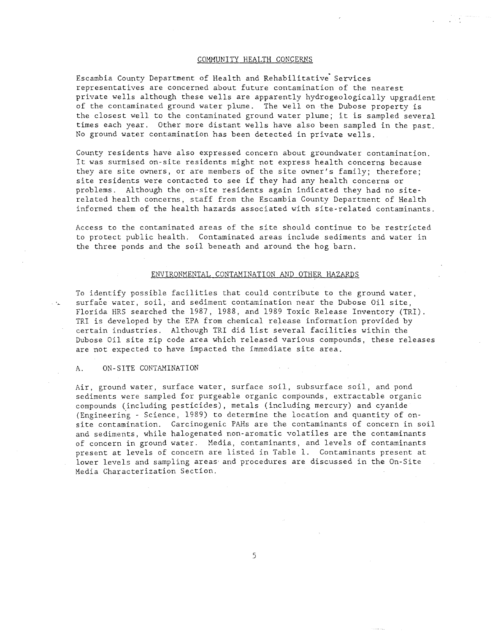# COMMUNITY HEALTH CONCERNS

Escambia County Department of Health and Rehabilitative Services representatives are concerned about future contamination of the nearest private wells although these wells are apparently hydrogeologically upgradient of the contaminated ground water plume. The well on the Dubose property is the closest well to the contaminated ground water plume; it is sampled several times each year. Other more distant wells have also been sampled in the past. No ground water contamination has been detected in private wells.

County residents have also expressed concern about groundwater contamination. It was surmised on-site residents might not express health concerns because they are site owners, or are members of the site owner's family; therefore; site residents were contacted to see if they had any health concerns or problems. Although the on-site residents again indicated they had no siterelated health concerns, staff from the Escambia County Department of Health informed them of the health hazards associated with site-related contaminants.

Access to the contaminated areas of the site should continue to be restricted to protect public health. Contaminated areas include sediments and water in the three ponds and the soil beneath and around the hog barn.

# ENVIRONMENTAL CONTAMINATION AND OTHER HAZARDS

To identify possible facilities that could contribute to the ground water, surface water, soil, and sediment contamination near the Dubose Oil site, Florida HRS searched the 1987, 1988, and 1989 Toxic Release Inventory (TRI). TRI is developed by the EPA from chemical release information provided by certain industries. Although TRI did list several facilities within the Dubose Oil site zip code area which released various compounds, these releases are not expected to have impacted the immediate site area.

# A. ON-SITE CONTAMINATION

 $\mathbb{R}^3$ 

Air, ground water, surface water, surface soil, subsurface soil, and pond sediments were sampled for purgeable organic compounds, extractable organic compounds (including pesticides), metals (including mercury) and cyanide (Engineering - Science, 1989) to determine the location and quantity of onsite contamination. Carcinogenic PAHs are the contaminants of concern in soil and sediments, while halogenated non-aromatic volatiles are the contaminants of concern in ground water. Media, contaminants, and levels of contaminants present at levels of concern are listed in Table 1. Contaminants present at lower levels and sampling areas and procedures are discussed in the On-Site Media Characterization Section.

5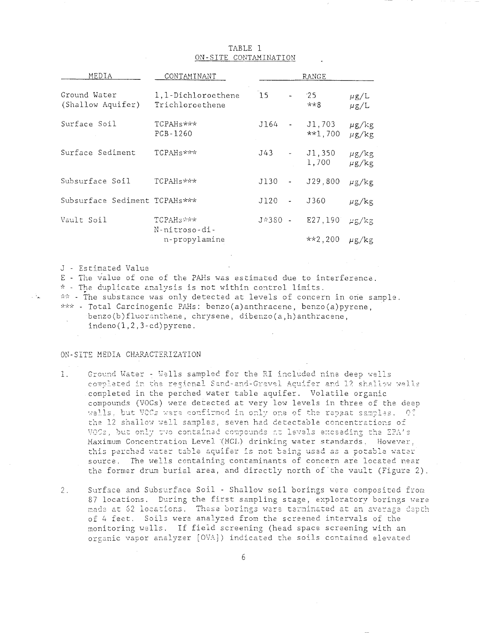| MEDIA                             | CONTAMINANT                                              | RANGE      |                                 |                     |                          |
|-----------------------------------|----------------------------------------------------------|------------|---------------------------------|---------------------|--------------------------|
| Ground Water<br>(Shallow Aquifer) | 1,1-Dichloroethene<br>Trichloroethene                    | 15         |                                 | 25<br>$***8$        | $\mu$ g/L<br>$\mu$ g/L   |
| Surface Soil                      | TCPAHs***<br>PCB-1260                                    | J164       | $\sim 100$ km s $^{-1}$         | J1,703<br>$**1,700$ | $\mu$ g/kg<br>$\mu$ g/kg |
| Surface Sediment                  | TCPAH <sub>s***</sub>                                    | J43        | $\omega_{\rm{max}}$             | J1,350<br>1,700     | $\mu$ g/kg<br>$\mu$ g/kg |
| Subsurface Soil                   | TCPAH <sub>S</sub> ***                                   | J130       | $\frac{1}{2}$ and $\frac{1}{2}$ | J29,800             | $\mu$ g/kg               |
| Subsurface Sediment TCPAHs***     |                                                          | $J120 - -$ |                                 | J360                | $\mu$ g/kg               |
| Vault Soil                        | TCPAH <sub>3</sub> ***<br>N-nitroso-di-<br>n-propylamine | J*380 -    |                                 | E27,190             | $\mu$ g/kg               |
|                                   |                                                          |            |                                 | $**2,200$           | $\mu$ g/kg               |

# TABLE 1 ON-SITE CONTAMINATION

J - Estimated Value

i Al

E - The value of one of the PAHs was estimated due to interference.

\* - The duplicate analysis is not within control limits.

\*\* - The substance was only detected at levels of concern in one sample.

 $***$  - Total Carcinogenic PAHs: benzo(a)anthracene, benzo(a)pyrene.

benzo(b)fluoranthene, chrysene, dibenzo(a,h)anthracene,

 $indeno(1,2,3-cd)pyrene.$ 

# ON-SITE MEDIA CHARACTERIZATION

- Ground Water Wells sampled for the RI included nine deep wells  $1.$ completed in the regional Sand-and-Gravel Acuifer and 12 shallow wells completed in the perched water table aquifer. Volatile organic compounds (VOCs) were detected at very low levels in three of the deep wells, but VOCs were confirmed in only one of the repeat samples. Of the 12 shallow well samples, seven had detectable concentrations of VOCs, but only two contained compounds at levels exceeding the EPA's Maximum Concentration Level (MCL) drinking water standards, However, this perched water table aquifer is not being used as a potable water source. The wells containing contaminants of concern are located near the former drum burial area, and directly north of the vault (Figure 2).
- Surface and Subsurface Soil Shallow soil borings were composited from  $2.$ 87 locations. During the first sampling stage, exploratory borings were made at 62 locations. These borings were terminated at an average depth of 4 feet. Soils were analyzed from the screened intervals of the monitoring wells. If field screening (head space screening with an organic vapor analyzer [OVA]) indicated the soils contained elevated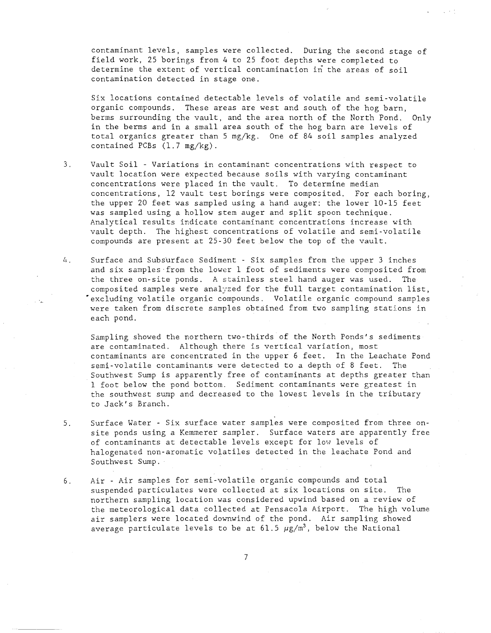contaminant levels, samples were collected. During the second stage of field work, 25 borings from 4 to 25 foot depths were completed to determine the extent of vertical contamination in the areas of soil contamination detected in stage one.

Six locations contained detectable levels of volatile and semi-volatile organic compounds. These areas are west and south of the hog barn, berms surrounding the vault, and the area north of the North Pond. Only in the berms and in a small area south of the hog barn are levels of total organics greater than 5 mg/kg. One of 84 soil samples analyzed contained PCBs (1.7 mg/kg).

- 3. Vault Soil Variations in contaminant concentrations with respect to vault location were expected because soils with varying contaminant concentrations were placed in the vault. To determine median concentrations, 12 vault test borings were composited. For each boring, the upper 20 feet was sampled using a hand auger: the lower 10-15 feet was sampled using a hollow stem auger and split spoon technique. Analytical results indicate contaminant concentrations increase with vault depth. The highest concentrations of volatile and semi-volatile compounds are present at 25-30 feet below the top of the vault.
- $4<sup>1</sup>$ Surface and Subsurface Sediment - Six samples from the upper 3 inches and six samples from the lower 1 foot of sediments were composited from the three on-site ponds. A stainless steel hand auger was used. The composited samples were analyzed for the full target contamination list, • excluding volatile organic compounds. Volatile organic compound samples were taken from discrete samples obtained from two sampling stations in each pond.

Sampling showed the northern two-thirds of the North Ponds's sediments are contaminated. Although there is vertical variation, most contaminants are concentrated in the upper 6 feet. In the Leachate Pond semi-volatile contaminants were detected to a depth of 8 feet. The Southwest Sump is apparently free of contaminants at depths greater than 1 foot below the pond bottom. Sediment contaminants were greatest in the southwest sump and decreased to the lowest levels in the tributary to Jack's Branch.

- 5. Surface Water Six surface water samples were composited from three onsite ponds using a Kemmerer sampler. Surface waters are apparently free of contaminants at detectable levels except for low levels of halogenated non-aromatic volatiles detected in the leachate Pond and Southwest Sump.
- 6. Air Air samples for semi-volatile organic compounds and total suspended particulates were collected at six locations on site. The northern sampling location was considered upwind based on a review of the meteorological data collected at Pensacola Airport. The high volume air samplers were located downwind of the pond. Air sampling showed average particulate levels to be at 61.5  $\mu$ g/m<sup>3</sup>, below the National

7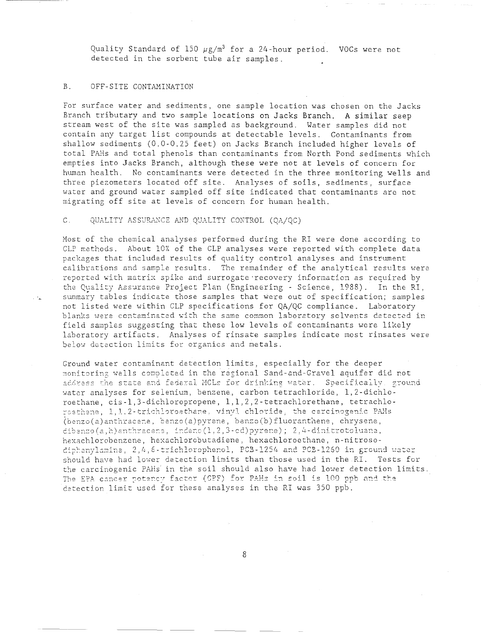Quality Standard of 150  $\mu$ g/m<sup>3</sup> for a 24-hour period. VOCs were not detected in the sorbent tube air samples.

# B. OFF-SITE CONTAMINATION

 $\sim t_{\rm m}$ 

For surface water and sediments, one sample location was chosen on the Jacks Branch tributary and two sample locations on Jacks Branch. A similar seep stream west of the site was sampled as background. Water samples did not contain any target list compounds at detectable levels. Contaminants from shallow sediments (0.0-0.25 feet) on Jacks Branch included higher levels of total PAHs and total phenols than contaminants from North Pond sediments which empties into Jacks Branch, although these were not at levels of concern for human health. No contaminants were detected in the three monitoring wells and three piezometers located off site. Analyses of soils, sediments, surface water and ground water sampled off site indicated that contaminants are not migrating off site at levels of concern for human health.

# C. QUALITY ASSURANCE AND QUALITY CONTROL (OA/QC)

Most of the chemical analyses performed during the RI were done according to CLP methods. About 10% of the CLP analyses were reported with complete data packages that included results of quality control analyses and instrument calibrations and sample results. The remainder of the analytical results were reported with matrix spike and surrogate-recovery information as required by the Quality Assurance Project Plan (Engineering - Science, 1988). In the RI, summary tables indicate those samples that were out of specification; samples not listed were within CLP specifications for QA/QC compliance. Laboratory blanks were contaminated with the same common laboratory solvents detected in field samples suggesting that these low levels of contaminants were likely laboratory artifacts. Analyses of rinsate samples indicate most rinsates were below detection limits for organics and metals.

Ground water contaminant detection limits, especially for the deeper monitoring wells completed in the regional Sand-and-Gravel aquifer did not address the state and federal MCLs for drinking water. Specifically, ground water analyses for selenium, benzene, carbon tetrachloride, 1,2-dichloroethane, cis-l,3-dichloropropene, 1,1,2,2-tetrachlorethane, tetrachlo roethene, 1,1.2-trichloroethane, vinyl chloride, the carcinogenic PAHs (benzo(a)anthracene, benzo(a)pyrene, benzo(b)fluoranthene, chrysene,  $dibenzo(a,h)$ anthracene, indeno $(1,2,3$ -cd) pyrene); 2,4-dinitrotoluane, hexachlorobenzene, hexachlorobutadiene, hexachloroethane, n-nitrosociphenylamine, 2,4, 6-trichlorophenol, PCB-1254 and PCB-1260 in ground water should have had lower detection limits than those used in the RI. Tests for the carcinogenic PAHs in the soil should also have had lower detection limits. The EPA cancer potency factor (CPF) for PAHs in soil is 100 ppb and the detection limit used for these analyses in the RI was 350 ppb.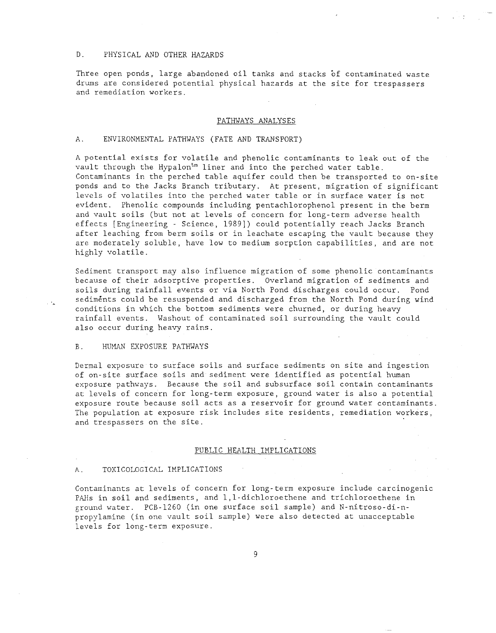# D. PHYSICAL AND OTHER HAZARDS

Three open ponds, large abandoned oil tanks and stacks of contaminated waste drums are considered potential physical hazards at the site for trespassers and remediation workers.

#### PATHWAYS ANALYSES

### A. ENVIRONMENTAL PATHWAYS (FATE AND TRANSPORT)

A potential exists for volatile and phenolic contaminants to leak out of the vault through the Hypalon $t_m$  liner and into the perched water table. Contaminants in the perched table aquifer could then be transported to on-site ponds and to the Jacks Branch tributary. At present, migration of significant levels of volatiles into the perched water table or in surface water is not evident. Phenolic compounds including pentachlorophenol present in the berm and vault soils (but not at levels of concern for long-term adverse health effects [Engineering - Science, 1989]) could potentially reach Jacks Branch after leaching from berm soils or in leachate escaping the vault because they are moderately soluble, have low to medium sorption capabilities, and are not highly volatile.

Sediment transport may also influence migration of some phenolic contaminants because of their adsorptive properties. Overland migration of sediments and soils during rainfall events or via North Pond discharges could occur. Pond sediments could be resuspended and discharged from the North Pond during wind conditions in which the bottom sediments were churned, or during heavy rainfall events. Washout of contaminated soil surrounding the vault could also occur during heavy rains.

#### B. HUMAN EXPOSURE PATHWAYS

Dermal exposure to surface soils and surface sediments on site and ingestion of on-site surface soils and sediment were identified as potential human exposure pathways. Because the soil and subsurface soil contain contaminants at levels of concern for long-term exposure, ground water is also a potential exposure route because soil acts as a reservoir for ground water contaminants. The population at exposure risk includes site residents, remediation workers, and trespassers on the site.

#### PUBLIC HEALTH IMPLICATIONS

#### A. TOXICOLOGICAL IMPLICATIONS

Contaminants at levels of concern for long-term exposure include carcinogenic PAHs in soil and sediments, and l,l-dichloroethene and trichloroethene in ground water. PCB-1260 (in one surface soil sample) and N-nitroso-di-npropylamine (in one vault soil sample) were also detected at unacceptable levels for long-term exposure.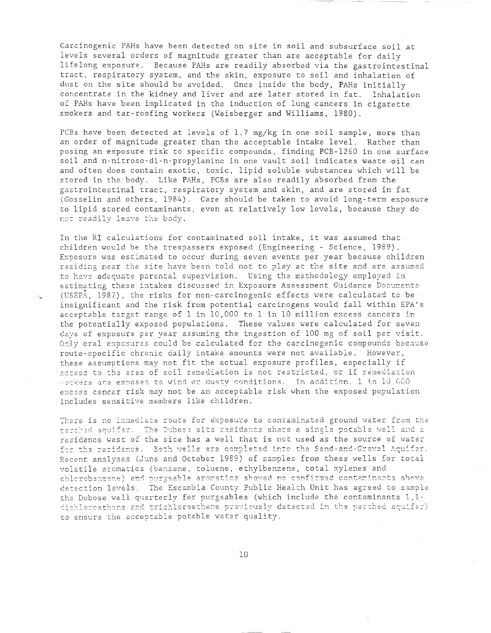Carcinogenic PAHs have been detected on site in soil and subsurface soil at levels several orders of magnitude greater than are acceptable for daily lifelong exposure. Because PAHs are readily absorbed via the gastrointestinal tract, respiratory system, and the skin, exposure to soil and inhalation of dust on the site should be avoided. Once inside the body, PAHs initially concentrate in the kidney and liver and are later stored in fat. Inhalation of PAHs have been implicated in the induction of lung cancers in cigarette smokers and tar-roofing workers (Weisberger and Williams, 1980).

PCBs have been detected at levels of 1.7 mg/kg in one soil sample, more than an order of magnitude greater than the acceptable intake level. Rather than posing an exposure risk to specific compounds, finding PCB-1260 in one surface soil and n-nitroso-di-n-propylamine in one vault soil indicates waste oil can and often does contain exotic, toxic, lipid soluble substances which will be stored in the body. Like PAHs, PCBs are also readily absorbed from the gastrointestinal tract, respiratory system and skin, and are stored in fat (Gosselin and others, 1984). Care should be taken to avoid long-term exposure to lipid stored contaminants, even at relatively low levels, because they do

In the RI calculations for contaminated soil intake, it was assumed that children would be the trespassers exposed (Engineering - Science, 1989). EXDosure was estimated to occur during seven events per year because children residing near the site have been told not to play at the site and are assumed to have adequate parental supervision. Using the methodology employed in estimating these intakes discussed in Exposure Assessment Guidance Documents (USEPA, 1987), the risks for non-carcinogenic effects were calculated to be insignificant and the risk from potential carcinogens would fall within EPA's acceptable target range of 1 in 10,000 to 1 in 10 million excess cancers in the potentially exposed populations. These values were calculated for seven days of exposure per year assuming the ingestion of 100 mg of soil per visit. Only oral exposures could be calculated for the carcinogenic compounds because route-specific chronic daily intake amounts were not available. However, these assumptions may not fit the actual exposure profiles, especially if access to the area of soil remediation is not restricted, or if remediation ~~k~rs are ex~os2d ta wind or dusty c0ndition~. In addicion. 1 tn IO.CGO excess cancer risk may not be an acceptable risk when the exposed population includes sensitive members like children.

 $\mathbb{R}^{n}$ 

There is no immediate route for exposure to contaminated ground water from the perched aquifer. The Dubose site residents share a single potable well and a<br>residence west of the site has a well that is not used as the source of water for the residence. Recent analyses (June and October 1989) of samples from these wells for total voletile aromatics (benzene, toluene, ethylbenzene, total xylenes and chlorobenzene) and purgeable aromatics showed no confirmed contaminants above detection levels. The Escambia County Public Health Unit has agreed to sample the Dubose well quarterly for purgeables (which include the contaminants 1,1-<br>dichloreathene and trichloroethene previously detected in the perched aquifer) to ensure the acceptable potable water quality.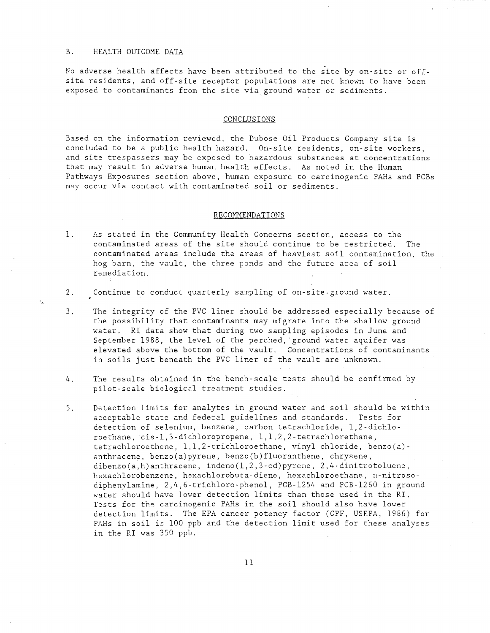#### B. HEALTH OUTCOME DATA

No adverse health affects have been attributed to the site by on-site or offsite residents, and off-site receptor populations are not known to have been exposed to contaminants from the site via. ground water or sediments.

#### CONCLUSIONS

Based on the information reviewed, the Dubose Oil Products Company site is concluded to be a public health hazard. On-site residents, on-site workers, and site trespassers may be exposed to hazardous substances at concentrations that may result in adverse human health effects. As noted in the Human Pathways Exposures section above, human exposure to carcinogenic PAHs and PCBs may occur via contact with contaminated soil or sediments.

## RECOMMENDATIONS

- 1. As stated in the Community Health Concerns section, access to the contaminated areas of the site should continue to be restricted. The contaminated areas include the areas of heaviest soil contamination, the hog barn, the vault, the three ponds and the future area of soil remediation.
- 2. Continue to conduct quarterly sampling of on-site ground water.
- 3. The integrity of the PVC liner should be addressed especially because of the possibility that contaminants may migrate into the shallow ground water. RI data show that during two sampling episodes in June and September 1988, the level of the perched, ground water aquifer was elevated above the bottom of the vault. Concentrations of contaminants in soils just beneath the PVC liner of the vault are unknown.
- 4. The results obtained in the bench-scale tests should be confirmed by pilot-scale biological treatment studies.
- 5. Detection limits for analytes in ground water and soil should be within acceptable state and federal guidelines and standards. Tests for detection of selenium, benzene, carbon tetrachloride, 1,2-dichloroethane, cis-l,3-dichloropropene, 1,1,2,2-tetrachlorethane, tetrachloroethene, 1,1,2-trichloroethane, vinyl chloride, benzo(a) anthracene, benzo(a)pyrene, benzo(b)fluoranthene, chrysene, dibenzo(a,h)anthracene, indeno(1,2,3-cd)pyrene, 2,4-dinitrotoluene, hexachlorobenzene, hexachlorobuta-diene, hexachloroethane, n-nitrosodiphenylamine, 2,4,6-trichloro-phenol, PCB-1254 and PCB-1260 in ground water should have lower detection limits than those used in the RI. Tests for the carcinogenic PAHs in the soil should also have lower detection limits. The EPA cancer potency factor (CPF, USEPA, 1986) for PAHs in soil is 100 ppb and the detection limit used for these analyses in the RI was 350 ppb.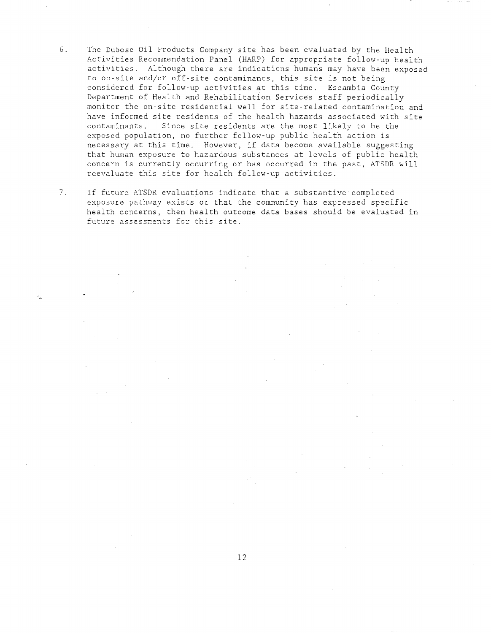- 6. The Dubose Oil Products Company site has been evaluated by the Health Activities Recommendation Panel (HARP) for appropriate follow-up health activities. Although there are indications humans may have been exposed to on-site and/or off-site contaminants, this site is not being considered for follow-up activities at this time. Escambia County Department of Health and Rehabilitation Services staff periodically monitor the on-site residential well for site-related contamination and have informed site residents of the health hazards associated with site contaminants. Since site residents are the most likely to be the exposed population, no further follow-up public health action is necessary at this time. However, if data become available suggesting that human exposure to hazardous substances at levels of public health concern is currently occurring or has occurred in the past, ATSDR will reevaluate this site for health follow-up activities.
- 7. If future ATSDR evaluations indicate that a substantive completed exposure pathway exists or that the community has expressed specific health concerns, then health outcome data bases should be evaluated in future assessments for this site.

 $\sim$   $\alpha_{\rm s}$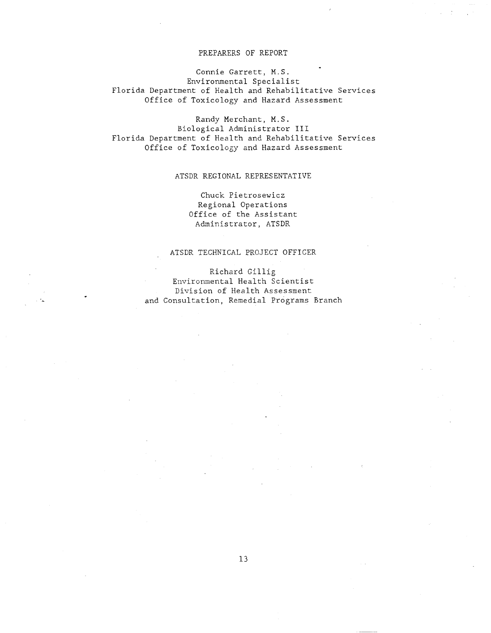# PREPARERS OF REPORT

Connie Garrett, M.S. Environmental Specialist Florida Department of Health and Rehabilitative Services Office of Toxicology and Hazard Assessment

Randy Merchant, M.S. Biological Administrator **III**  Florida Department of Health and Rehabilitative Services Office of Toxicology and Hazard Assessment

# ATSDR REGIONAL REPRESENTATIVE

Chuck Pietrosewicz Regional Operations Office of the Assistant Administrator, ATSDR

# ATSDR TECHNICAL PROJECT OFFICER

Richard Gillig Environmental Health Scientist Division of Health Assessment

and Consultation, Remedial Programs Branch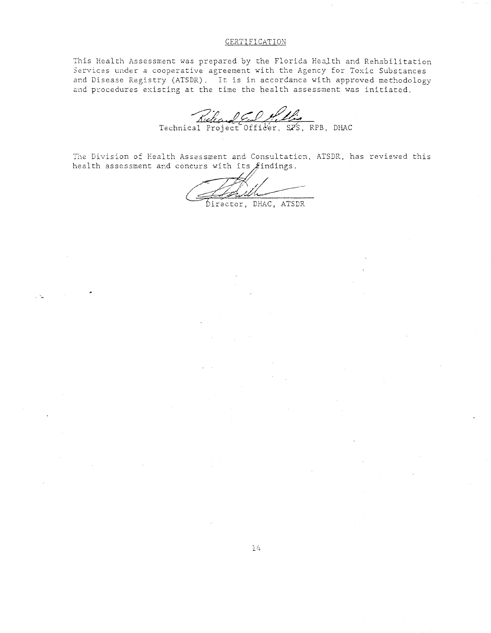# CERTIFICATION

This Health Assessment was prepared by the Florida Health and Rehabilitation Services under a cooperative agreement with the Agency for Toxic Substances and Disease Registry (ATSDR). It is in accordance with approved methodology and procedures existing at the time the health assessment was initiated.

Rute COMPLE

The Division of Health Assessment and Consultation, ATSDR, has reviewed this health assessment and concurs with its findings.

Director, DHAC, ATSDR

 $\sim 40$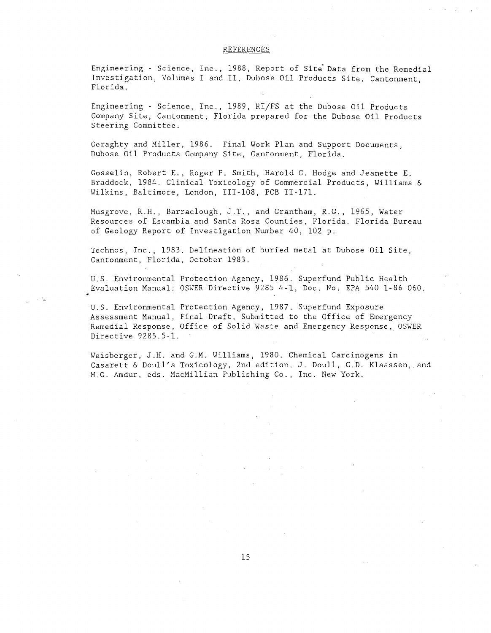#### REFERENCES

Engineering - Science, Inc., 1988, Report of Site Data from the Remedial Investigation, Volumes I and II, Dubose Oil Products Site, Cantonment, Florida.

Engineering - Science, Inc., 1989, RI/FS at the Dubose Oil Products Company Site, Cantonment, Florida prepared for the Dubose Oil Products Steering Committee.

Geraghty and Miller, 1986. Final Work Plan and Support Documents, Dubose Oil Products Company Site, Cantonment, Florida.

Gosselin, Robert E., Roger P. Smith, Harold C. Hodge and Jeanette E. Braddock, 1984. Clinical Toxicology of Commercial Products, Williams & Wilkins, Baltimore, London, 111-108, PCB 11-171.

Musgrove, R.H., Barraclough, J.T., and Grantham, R.G., 1965, Water Resources of Escambia and Santa Rosa Counties, Florida. Florida Bureau of Geology Report of Investigation Number 40, 102 p.

Technos, Inc., 1983. Delineation of buried metal at Dubose Oil Site, Cantonment, Florida, October 1983.

U.S. Environmental Protection Agency, 1986. Superfund Public Health Evaluation Manual: OSWER Directive 9285 4-1, Doc. No. EPA 540 1-86 060.

U.S. Environmental Protection Agency, 1987. Superfund Exposure Assessment Manual, Final Draft, Submitted to the Office of Emergency Remedial Response, Office of Solid Waste and Emergency Response, OSWER Directive 9285.5-1.

Weisberger, J.H. and G.M. Williams, 1980. Chemical Carcinogens in Casarett & Doull's Toxicology, 2nd edition. J. Doull, c.b. Klaassen, and M.O. Amdur, eds. MacMillian Publishing *Co.,* Inc. New York.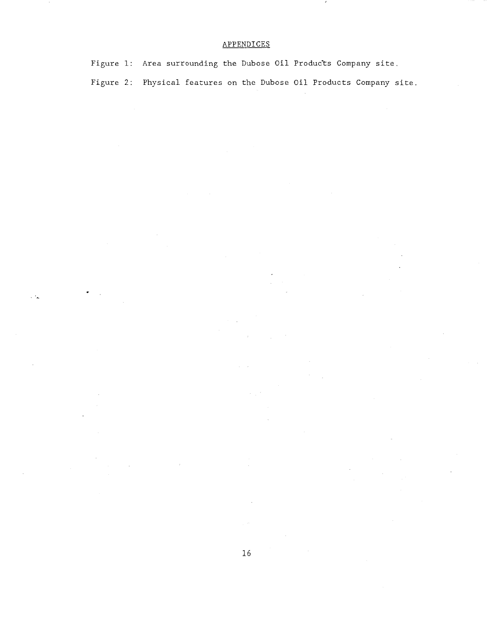# APPENDICES

 $\mathcal{L}$ 

Figure 1: Area surrounding the Dubose Oil Products Company site. Figure 2: Physical features on the Dubose Oil Products Company site.

 $\mathcal{L}$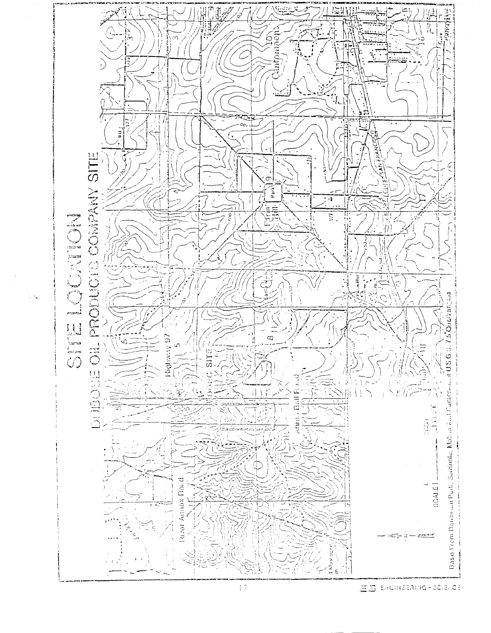

tik.

 $\overline{17}$ 

EB ERGINEERING - BOIELOS